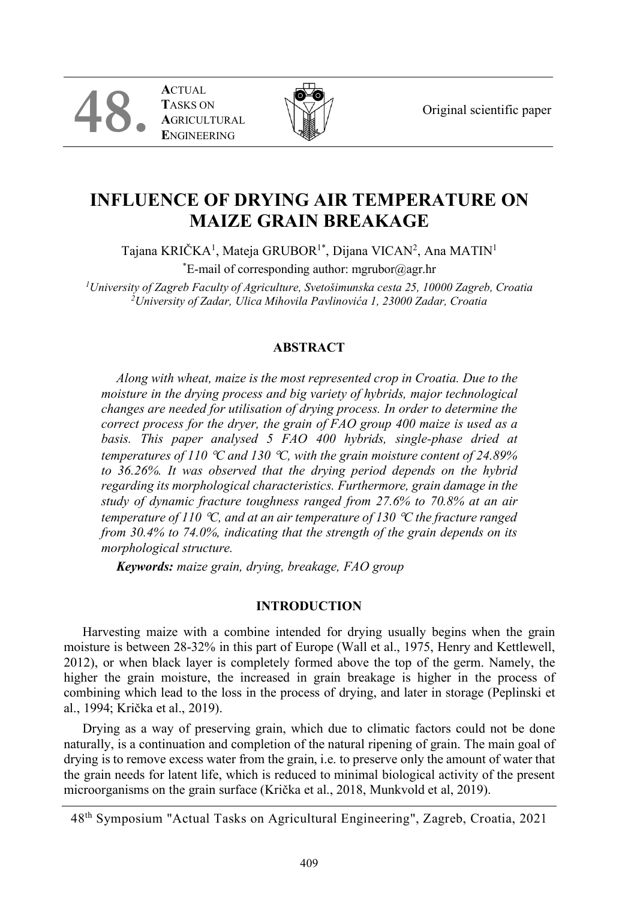Original scientific paper

**A**CTUAL **T**ASKS ON **A**GRICULTURAL **E**NGINEERING

**48.**



# **INFLUENCE OF DRYING AIR TEMPERATURE ON MAIZE GRAIN BREAKAGE**

Tajana KRIČKA<sup>1</sup>, Mateja GRUBOR<sup>1\*</sup>, Dijana VICAN<sup>2</sup>, Ana MATIN<sup>1</sup>

\* E-mail of corresponding author: mgrubor@agr.hr

*1University of Zagreb Faculty of Agriculture, Svetošimunska cesta 25, 10000 Zagreb, Croatia 2University of Zadar, Ulica Mihovila Pavlinovića 1, 23000 Zadar, Croatia*

## **ABSTRACT**

*Along with wheat, maize is the most represented crop in Croatia. Due to the moisture in the drying process and big variety of hybrids, major technological changes are needed for utilisation of drying process. In order to determine the correct process for the dryer, the grain of FAO group 400 maize is used as a basis. This paper analysed 5 FAO 400 hybrids, single-phase dried at temperatures of 110* °*C and 130* °*C, with the grain moisture content of 24.89% to 36.26%. It was observed that the drying period depends on the hybrid regarding its morphological characteristics. Furthermore, grain damage in the study of dynamic fracture toughness ranged from 27.6% to 70.8% at an air temperature of 110* °*C, and at an air temperature of 130* °*C the fracture ranged from 30.4% to 74.0%, indicating that the strength of the grain depends on its morphological structure.*

*Keywords: maize grain, drying, breakage, FAO group*

## **INTRODUCTION**

Harvesting maize with a combine intended for drying usually begins when the grain moisture is between 28-32% in this part of Europe (Wall et al., 1975, Henry and Kettlewell, 2012), or when black layer is completely formed above the top of the germ. Namely, the higher the grain moisture, the increased in grain breakage is higher in the process of combining which lead to the loss in the process of drying, and later in storage (Peplinski et al., 1994; Krička et al., 2019).

Drying as a way of preserving grain, which due to climatic factors could not be done naturally, is a continuation and completion of the natural ripening of grain. The main goal of drying is to remove excess water from the grain, i.e. to preserve only the amount of water that the grain needs for latent life, which is reduced to minimal biological activity of the present microorganisms on the grain surface (Krička et al., 2018, Munkvold et al, 2019).

<sup>48</sup>th Symposium "Actual Tasks on Agricultural Engineering", Zagreb, Croatia, 2021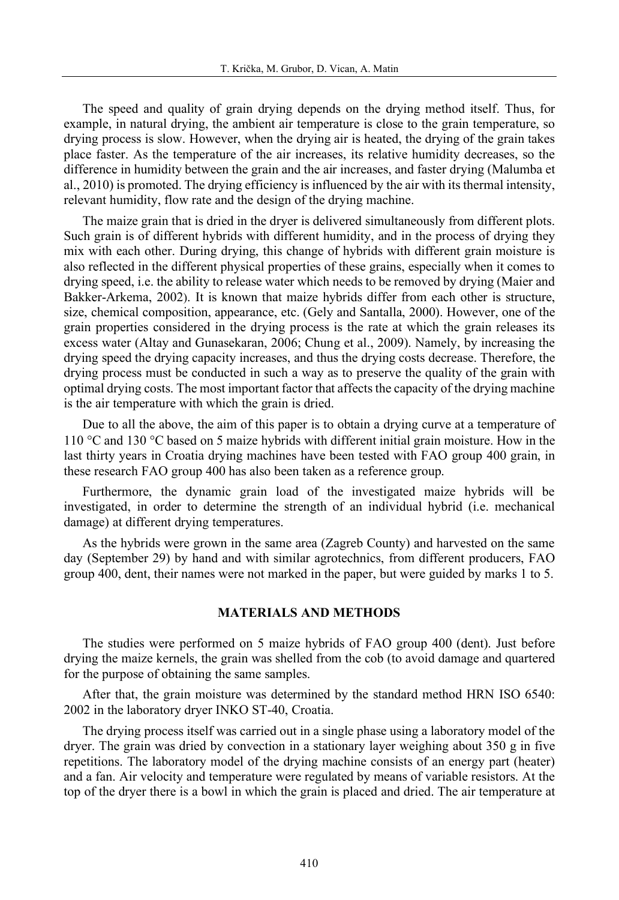The speed and quality of grain drying depends on the drying method itself. Thus, for example, in natural drying, the ambient air temperature is close to the grain temperature, so drying process is slow. However, when the drying air is heated, the drying of the grain takes place faster. As the temperature of the air increases, its relative humidity decreases, so the difference in humidity between the grain and the air increases, and faster drying (Malumba et al., 2010) is promoted. The drying efficiency is influenced by the air with its thermal intensity, relevant humidity, flow rate and the design of the drying machine.

The maize grain that is dried in the dryer is delivered simultaneously from different plots. Such grain is of different hybrids with different humidity, and in the process of drying they mix with each other. During drying, this change of hybrids with different grain moisture is also reflected in the different physical properties of these grains, especially when it comes to drying speed, i.e. the ability to release water which needs to be removed by drying (Maier and Bakker-Arkema, 2002). It is known that maize hybrids differ from each other is structure, size, chemical composition, appearance, etc. (Gely and Santalla, 2000). However, one of the grain properties considered in the drying process is the rate at which the grain releases its excess water (Altay and Gunasekaran, 2006; Chung et al., 2009). Namely, by increasing the drying speed the drying capacity increases, and thus the drying costs decrease. Therefore, the drying process must be conducted in such a way as to preserve the quality of the grain with optimal drying costs. The most important factor that affects the capacity of the drying machine is the air temperature with which the grain is dried.

Due to all the above, the aim of this paper is to obtain a drying curve at a temperature of 110 °C and 130 °C based on 5 maize hybrids with different initial grain moisture. How in the last thirty years in Croatia drying machines have been tested with FAO group 400 grain, in these research FAO group 400 has also been taken as a reference group.

Furthermore, the dynamic grain load of the investigated maize hybrids will be investigated, in order to determine the strength of an individual hybrid (i.e. mechanical damage) at different drying temperatures.

As the hybrids were grown in the same area (Zagreb County) and harvested on the same day (September 29) by hand and with similar agrotechnics, from different producers, FAO group 400, dent, their names were not marked in the paper, but were guided by marks 1 to 5.

### **MATERIALS AND METHODS**

The studies were performed on 5 maize hybrids of FAO group 400 (dent). Just before drying the maize kernels, the grain was shelled from the cob (to avoid damage and quartered for the purpose of obtaining the same samples.

After that, the grain moisture was determined by the standard method HRN ISO 6540: 2002 in the laboratory dryer INKO ST-40, Croatia.

The drying process itself was carried out in a single phase using a laboratory model of the dryer. The grain was dried by convection in a stationary layer weighing about 350 g in five repetitions. The laboratory model of the drying machine consists of an energy part (heater) and a fan. Air velocity and temperature were regulated by means of variable resistors. At the top of the dryer there is a bowl in which the grain is placed and dried. The air temperature at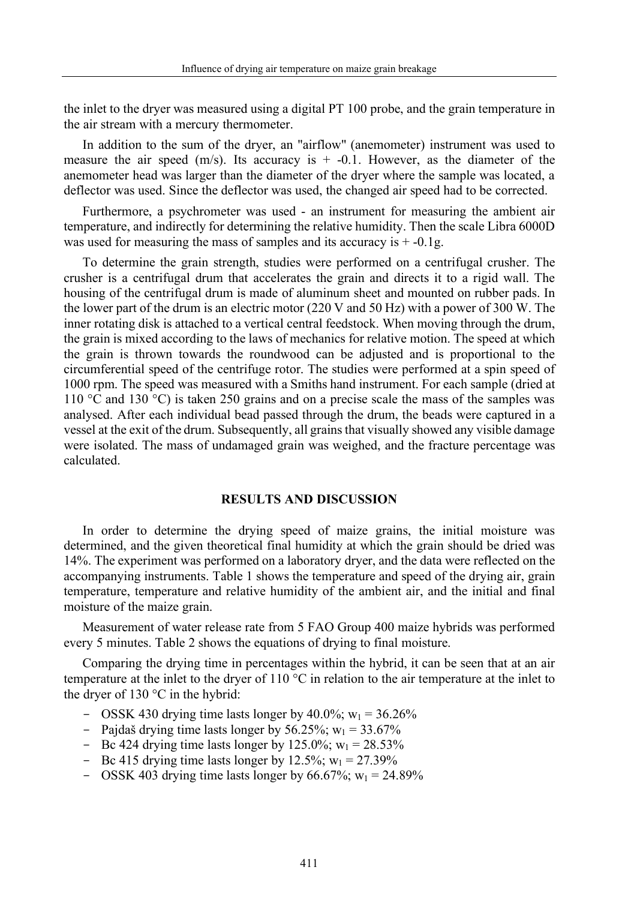the inlet to the dryer was measured using a digital PT 100 probe, and the grain temperature in the air stream with a mercury thermometer.

In addition to the sum of the dryer, an "airflow" (anemometer) instrument was used to measure the air speed (m/s). Its accuracy is  $+$  -0.1. However, as the diameter of the anemometer head was larger than the diameter of the dryer where the sample was located, a deflector was used. Since the deflector was used, the changed air speed had to be corrected.

Furthermore, a psychrometer was used - an instrument for measuring the ambient air temperature, and indirectly for determining the relative humidity. Then the scale Libra 6000D was used for measuring the mass of samples and its accuracy is  $+ -0.1g$ .

To determine the grain strength, studies were performed on a centrifugal crusher. The crusher is a centrifugal drum that accelerates the grain and directs it to a rigid wall. The housing of the centrifugal drum is made of aluminum sheet and mounted on rubber pads. In the lower part of the drum is an electric motor (220 V and 50 Hz) with a power of 300 W. The inner rotating disk is attached to a vertical central feedstock. When moving through the drum, the grain is mixed according to the laws of mechanics for relative motion. The speed at which the grain is thrown towards the roundwood can be adjusted and is proportional to the circumferential speed of the centrifuge rotor. The studies were performed at a spin speed of 1000 rpm. The speed was measured with a Smiths hand instrument. For each sample (dried at 110 °C and 130 °C) is taken 250 grains and on a precise scale the mass of the samples was analysed. After each individual bead passed through the drum, the beads were captured in a vessel at the exit of the drum. Subsequently, all grains that visually showed any visible damage were isolated. The mass of undamaged grain was weighed, and the fracture percentage was calculated.

#### **RESULTS AND DISCUSSION**

In order to determine the drying speed of maize grains, the initial moisture was determined, and the given theoretical final humidity at which the grain should be dried was 14%. The experiment was performed on a laboratory dryer, and the data were reflected on the accompanying instruments. Table 1 shows the temperature and speed of the drying air, grain temperature, temperature and relative humidity of the ambient air, and the initial and final moisture of the maize grain.

Measurement of water release rate from 5 FAO Group 400 maize hybrids was performed every 5 minutes. Table 2 shows the equations of drying to final moisture.

Comparing the drying time in percentages within the hybrid, it can be seen that at an air temperature at the inlet to the dryer of 110 °C in relation to the air temperature at the inlet to the dryer of  $130^{\circ}$ C in the hybrid:

- OSSK 430 drying time lasts longer by 40.0%;  $w_1 = 36.26\%$
- Pajdaš drying time lasts longer by 56.25%;  $w_1 = 33.67\%$
- Bc 424 drying time lasts longer by 125.0%;  $w_1 = 28.53\%$
- Bc 415 drying time lasts longer by 12.5%;  $w_1 = 27.39\%$
- OSSK 403 drying time lasts longer by 66.67%;  $w_1 = 24.89\%$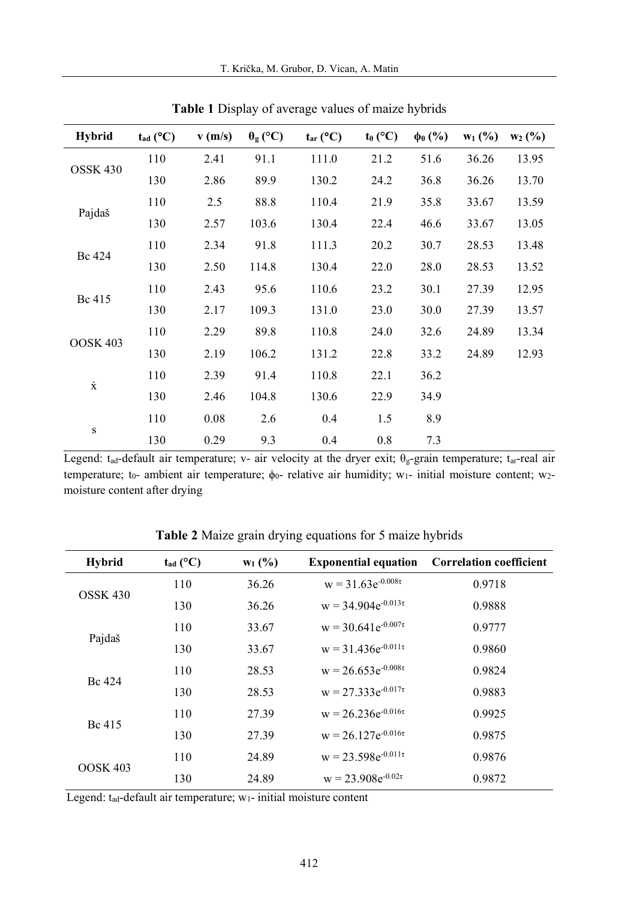| <b>Hybrid</b>       | $t_{ad}$ (°C) | v(m/s) | $\theta_{\rm g}$ (°C) | $t_{\text{ar}}$ (°C) | $t_0$ (°C) | $\phi_0$ (%) | $W_1$ (%) | $W_2(%)$ |
|---------------------|---------------|--------|-----------------------|----------------------|------------|--------------|-----------|----------|
| OSSK <sub>430</sub> | 110           | 2.41   | 91.1                  | 111.0                | 21.2       | 51.6         | 36.26     | 13.95    |
|                     | 130           | 2.86   | 89.9                  | 130.2                | 24.2       | 36.8         | 36.26     | 13.70    |
| Pajdaš              | 110           | 2.5    | 88.8                  | 110.4                | 21.9       | 35.8         | 33.67     | 13.59    |
|                     | 130           | 2.57   | 103.6                 | 130.4                | 22.4       | 46.6         | 33.67     | 13.05    |
| Bc 424              | 110           | 2.34   | 91.8                  | 111.3                | 20.2       | 30.7         | 28.53     | 13.48    |
|                     | 130           | 2.50   | 114.8                 | 130.4                | 22.0       | 28.0         | 28.53     | 13.52    |
| Bc 415              | 110           | 2.43   | 95.6                  | 110.6                | 23.2       | 30.1         | 27.39     | 12.95    |
|                     | 130           | 2.17   | 109.3                 | 131.0                | 23.0       | 30.0         | 27.39     | 13.57    |
| OOSK 403            | 110           | 2.29   | 89.8                  | 110.8                | 24.0       | 32.6         | 24.89     | 13.34    |
|                     | 130           | 2.19   | 106.2                 | 131.2                | 22.8       | 33.2         | 24.89     | 12.93    |
| $\dot{x}$           | 110           | 2.39   | 91.4                  | 110.8                | 22.1       | 36.2         |           |          |
|                     | 130           | 2.46   | 104.8                 | 130.6                | 22.9       | 34.9         |           |          |
| ${\bf S}$           | 110           | 0.08   | 2.6                   | 0.4                  | 1.5        | 8.9          |           |          |
|                     | 130           | 0.29   | 9.3                   | 0.4                  | 0.8        | 7.3          |           |          |

**Table 1** Display of average values of maize hybrids

Legend: t<sub>ad-</sub>default air temperature; v- air velocity at the dryer exit;  $\theta_g$ -grain temperature; t<sub>ar-</sub>real air temperature; to- ambient air temperature;  $φo-$  relative air humidity; w<sub>1</sub>- initial moisture content; w<sub>2</sub>moisture content after drying

| <b>Hybrid</b>       | $t_{\text{ad}}$ (°C) | $W_1$ (%) | <b>Exponential equation</b> | <b>Correlation coefficient</b> |
|---------------------|----------------------|-----------|-----------------------------|--------------------------------|
|                     | 110                  | 36.26     | $w = 31.63e^{-0.008\tau}$   | 0.9718                         |
| OSSK <sub>430</sub> | 130                  | 36.26     | $w = 34.904e^{-0.013\tau}$  | 0.9888                         |
|                     | 110                  | 33.67     | $w = 30.641e^{-0.007\tau}$  | 0.9777                         |
| Pajdaš              | 130                  | 33.67     | $w = 31.436e^{-0.011\tau}$  | 0.9860                         |
|                     | 110                  | 28.53     | $w = 26.653e^{-0.008\tau}$  | 0.9824                         |
| Bc 424              | 130                  | 28.53     | $w = 27.333e^{-0.017\tau}$  | 0.9883                         |
| Bc 415              | 110                  | 27.39     | $w = 26.236e^{-0.016\tau}$  | 0.9925                         |
|                     | 130                  | 27.39     | $w = 26.127e^{-0.016\tau}$  | 0.9875                         |
|                     | 110                  | 24.89     | $w = 23.598e^{-0.011\tau}$  | 0.9876                         |
| <b>OOSK 403</b>     | 130                  | 24.89     | $w = 23.908e^{-0.02\tau}$   | 0.9872                         |

**Table 2** Maize grain drying equations for 5 maize hybrids

Legend: t<sub>ad</sub>-default air temperature; w<sub>1</sub>- initial moisture content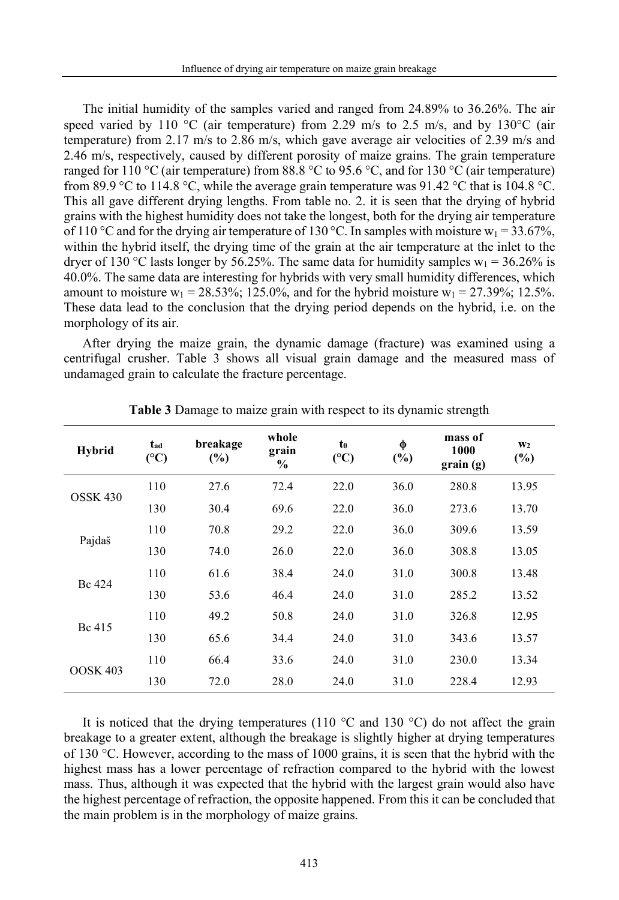The initial humidity of the samples varied and ranged from 24.89% to 36.26%. The air speed varied by 110 °C (air temperature) from 2.29 m/s to 2.5 m/s, and by 130 °C (air temperature) from 2.17 m/s to 2.86 m/s, which gave average air velocities of 2.39 m/s and 2.46 m/s, respectively, caused by different porosity of maize grains. The grain temperature ranged for 110 °C (air temperature) from 88.8 °C to 95.6 °C, and for 130 °C (air temperature) from 89.9 °C to 114.8 °C, while the average grain temperature was 91.42 °C that is 104.8 °C. This all gave different drying lengths. From table no. 2. it is seen that the drying of hybrid grains with the highest humidity does not take the longest, both for the drying air temperature of 110 °C and for the drying air temperature of 130 °C. In samples with moisture  $w_1 = 33.67\%$ , within the hybrid itself, the drying time of the grain at the air temperature at the inlet to the dryer of 130 °C lasts longer by 56.25%. The same data for humidity samples  $w_1 = 36.26\%$  is 40.0%. The same data are interesting for hybrids with very small humidity differences, which amount to moisture  $w_1 = 28.53\%$ ; 125.0%, and for the hybrid moisture  $w_1 = 27.39\%$ ; 12.5%. These data lead to the conclusion that the drying period depends on the hybrid, i.e. on the morphology of its air.

After drying the maize grain, the dynamic damage (fracture) was examined using a centrifugal crusher. Table 3 shows all visual grain damage and the measured mass of undamaged grain to calculate the fracture percentage.

| Hybrid          | $t_{ad}$<br>$({}^{\circ}C)$ | breakage<br>$(\%)$ | whole<br>grain<br>$\frac{0}{0}$ | t <sub>0</sub><br>$(^{\circ}C)$ | φ<br>(%) | mass of<br>1000<br>grain(g) | W <sub>2</sub><br>(%) |
|-----------------|-----------------------------|--------------------|---------------------------------|---------------------------------|----------|-----------------------------|-----------------------|
| <b>OSSK 430</b> | 110                         | 27.6               | 72.4                            | 22.0                            | 36.0     | 280.8                       | 13.95                 |
|                 | 130                         | 30.4               | 69.6                            | 22.0                            | 36.0     | 273.6                       | 13.70                 |
| Pajdaš          | 110                         | 70.8               | 29.2                            | 22.0                            | 36.0     | 309.6                       | 13.59                 |
|                 | 130                         | 74.0               | 26.0                            | 22.0                            | 36.0     | 308.8                       | 13.05                 |
| Bc 424          | 110                         | 61.6               | 38.4                            | 24.0                            | 31.0     | 300.8                       | 13.48                 |
|                 | 130                         | 53.6               | 46.4                            | 24.0                            | 31.0     | 285.2                       | 13.52                 |
| Bc 415          | 110                         | 49.2               | 50.8                            | 24.0                            | 31.0     | 326.8                       | 12.95                 |
|                 | 130                         | 65.6               | 34.4                            | 24.0                            | 31.0     | 343.6                       | 13.57                 |
| <b>OOSK 403</b> | 110                         | 66.4               | 33.6                            | 24.0                            | 31.0     | 230.0                       | 13.34                 |
|                 | 130                         | 72.0               | 28.0                            | 24.0                            | 31.0     | 228.4                       | 12.93                 |

**Table 3** Damage to maize grain with respect to its dynamic strength

It is noticed that the drying temperatures (110  $^{\circ}$ C and 130  $^{\circ}$ C) do not affect the grain breakage to a greater extent, although the breakage is slightly higher at drying temperatures of 130 °C. However, according to the mass of 1000 grains, it is seen that the hybrid with the highest mass has a lower percentage of refraction compared to the hybrid with the lowest mass. Thus, although it was expected that the hybrid with the largest grain would also have the highest percentage of refraction, the opposite happened. From this it can be concluded that the main problem is in the morphology of maize grains.